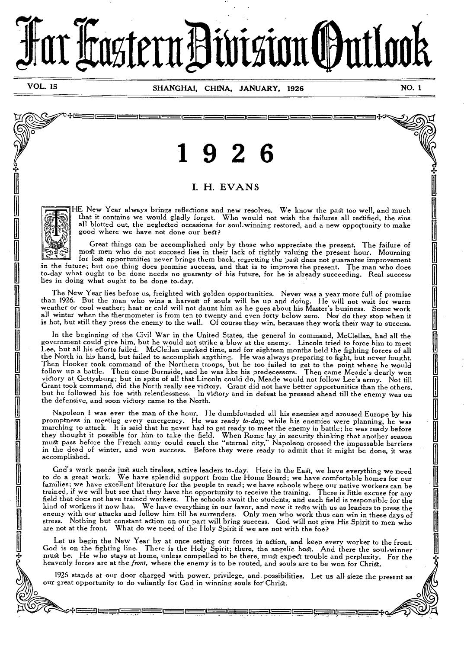# trastern Bivision Ontloo

أأكس للمسور المستعا المساحس

التككا الككا الككا الككا

 $\overline{Q}$ 

**VOL 15 SHANGHAI, CHINA, JANUARY, 1926 NO. 1** 

U

الككا الككا الكسار

لتككا اكتكا الكاكل الكاكر

# **1 9 2 6**

### I. H. EVANS

• I is in <u>the international product</u>

HE New Year always brings reflections and new resolves. We know the past too well, and much that it contains we would gladly forget. Who would not wish the failures all rectified, the sins all blotted out, the neglected occasions for soul-winning restored, and a new opportunity to make good where we have not done our best?

Great things can be accomplished only by those who appreciate the present. The failure of most men who do not succeed lies in their lack of rightly valuing the present hour. Mourning for lost opportunities never brings them back, regretting the past does not guarantee improvement in the future; but one thing does promise success, and that is to improve the present. The man who does to-day what ought to be done needs no guaranty of his future, for he is already succeeding. Real success lies in doing what ought to be done to-day.

The New Year lies before us, freighted with golden opportunities. Never was a year more full of promise than 1926. But the man who wins a harvest of souls will be up and doing. He will not wait for warm weather or cool weather; heat or cold will not daunt him as he goes about his Master's business. Some work all winter when the thermometer is from ten to twenty and even forty below zero. Nor do they stop when it is hot, but still they press the enemy to the wall. Of course they win, because they work their way to success.

In the beginning of the Civil War in the United States, the general in command, McClellan, had all the government could give him, but he would not strike a blow at the enemy. Lincoln tried to force him to meet Lee, but all his efforts failed. McClellan marked time, and for eighteen months held the fighting forces of all the North in his hand, but failed to accomplish anything. He was always preparing to fight, but never fought. Then Hooker took command of the Northern troops, but he too failed to get to the point where he would follow up a battle. Then came Burnside, and he was like his predecessors. Then came Meade's dearly won victory at Gettysburg; but in spite of all that Lincoln could do, Meade would not follow Lee's army. Not till Grant took command, did the North really *see* victory. Grant did not have better opportunities than the others, but he followed his foe with relentlessness. In victory and in defeat he pressed ahead till the enemy was on the defensive, and soon victory came to the North.

Napoleon 1 was ever the man of the hour. He dumbfounded all his enemies and aroused Europe by his promptness in meeting every emergency. He was ready *to-day*; while his enemies were planning, he was marching to attack. It is said that he never had to get ready to meet the enemy in battle; he was ready before they thought it possible for him to take the field. When Rome lay in security thinking that another season must pass before the French army could reach the "eternal city," Napoleon crossed the impassable barriers in the dead of winter, and won success. Before they were ready to admit that it might be done, it was accomplished.

God's work needs just such tireless, active leaders to-day. Here in the East, we have everything we need to do a great work. We have splendid support from *the* Home Board; we have comfortable homes for our families; we have excellent literature for the people to read; we have schools where our native workers can be trained, if we will but see that they have the opportunity to receive the training. There is little excuse for any field that does not have trained workers. The schools await the students, and each field is responsible for the kind of workers it now has. We have everything in our favor, and now it rests with us as leaders to press the enemy with our attacks and follow him till he surrenders. Only men who work thus can win in these days of stress. Nothing but constant action on our part will bring success. God will not give His Spirit to *men* who What do we need of the Holy Spirit if we are not with the foe?

Let us begin the New Year by at once setting our forces in action, and keep every worker to the front. God is on the fighting line. There is the Holy Spirit; there, the angelic host. And there the soul-winner must be. He who stays at home, unless compelled to be there, must expect trouble and perplexity. For the heavenly forces are at the *front,* where the enemy is to be routed, and souls are to be won for Christ.

1926 stands at our door charged with power, privilege, and, possibilities. Let us all sieze the present as our great opportunity to do valiantly for God in winning souls for Christ.

⊐⊏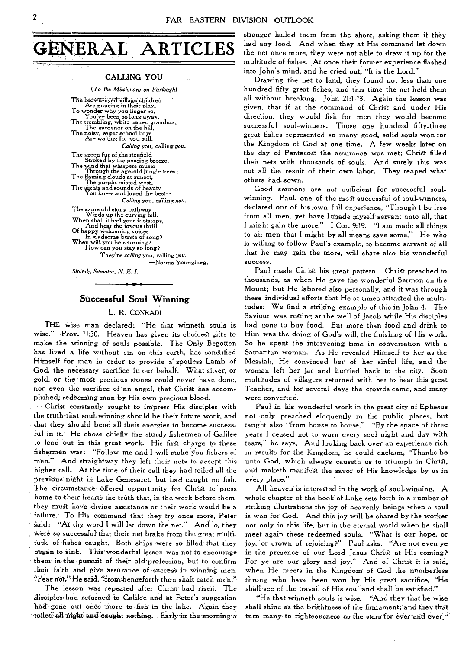

#### **CALLING YOU**

*(To the Missionary on Furlough)* 

The brown-eyed village children Are pausing in their play, To wonder why you linger so, You've been so long away. The trembling, white haired grandma, The gardener on the hill, The noisy, eager school boys Are waiting for you still. *Calling* you, calling *you.*  The green fur of the ricefield<br>Stroked by the passing breeze,<br>The wind that whispers music<br>music Through the age-old jungle trees; The flaming clouds at sunset, The purple-misted west, The sights and sounds of beauty You knew and loved the *best-- Calling* you, calling *you.*  The same old stony pathway<br>
Winds up the curving hill.<br>
When shall it feel your footsteps,<br>
And hear the joyous thrill<br>
Of happy welcoming voices<br>
Of happy welcoming voices<br>
wn in gladsome bursts of song? When will you be returning? How can you stay so long? They're *calling* you, calling *you.*  —Norma Youngberg.

*Sipirok, Sumatra, N. E. I.* 

#### **Successful Soul Winning**

#### L. R. CONRADI

THE wise man declared: "He that winneth souls is wise." Prov. 11:30. Heaven has given its choicest gifts to make the winning of souls possible. The Only Begotten has lived a life without sin on this earth, has sanctified Himself for man in order to provide a' spotless Lamb of God, the necessary sacrifice in our behalf. What silver, or gold, or the most precious stones could never have done, nor even the sacrifice of an angel, that Christ has accomplished; redeeming man by His own precious blood.

Christ constantly sought to impress His disciples with the truth-that soul-winning should be their future work, and that they should bend all their energies to become successful in it. He chose chiefly the sturdy fishermen of Galilee to' lead out in this great work. His first charge to these fisherrnen was: "Follow me and I will make You fishers of men." And straightway they left their nets to accept this higher call. At the time of their call they had toiled all the previous-night in Lake Genesaret, but had caught no fish. The circumstance offered opportunity for Christ to press home to their hearts the truth that, in the work before them they must- have *divine* assistance or their work would be a failure. To His command that they try once more, Peter said: "At thy word I will let down the net." And lo, they were so successful that their net brake from the great multitude of fishes caught. Both ships were so filled that they began to sink. This wonderful lesson was not to encourage them in the pursuit of their old-profession, but to confirm their faith and give assurance of success in winning men. "Fear not," He said, "from henceforth thou shalt catch men."

The lesson was repeated after Christ' had risen. The disciples had returned to-Galilee and at Peter's suggestion had gone out once more to fish in the lake. Again they toiled all night and caught nothing. Early in the rirorning a stranger hailed them from the shore, asking them if they had any food. And when they at His command let down the net once more, they were not able to draw it up for the multitude of fishes. At once their former experience flashed into John's mind, and he cried out, "It is the Lord."

Drawing the net to land, they found not less than one hundred fifty great fishes, and this time the net held them all without breaking. John 21:1-13. Again the lesson was given, that if at the command of Christ and under His direction, they would fish for men they would become successful soul-winners. Those one hundred fifty-three great fishes represented so many good, solid souls won for the Kingdom of God at one time. A few weeks later on the day of Pentecost the assurance was met; Christ filled their nets with thousands of souls. And surely this was not all the result of their own labor. They reaped what others had-sown.

Good sermons are not sufficient for successful soulwinning. Paul, one of the most successful of soul-winners, declared out of his own full experience, "Though I be free from all men, yet have I made myself-servant unto all, that I might gain the more." I Cor. 9:19. "I am made all things to all men that I might by all means save some." He who is willing to follow Paul's example, to become servant of all that he may gain the more, will share also his wonderful success.

Paul made Christ his great pattern. Christ preached to thousands, as when He gave the wonderful Sermon on the Mount; but He labored also personally, and it was through these individual efforts that He at times attracted the multitudes. We find a striking example of this in John 4. The Saviour was resting at the well of Jacob while His disciples had gone to buy food. But more than food and drink to Him was the doing of God's will, the finishing of His work. So he spent the intervening time in conversation with a Samaritan woman. As He revealed Himself to her as the Messiah, He convinced her of her sinful life, and the woman left her jar and hurried back to the city. Soon multitudes of villagers returned with her to hear this great Teacher, and for several days the crowds came, and many were converted.

Paul in his wonderful work in the great city of Ephesus not only preached eloquently in the public places, but taught also "from house to house." "By the space of three years **I** ceased not to warn every soul night and day with tears," he says. And looking back over an experience rich in results for the Kingdom, he could exclaim, "Thanks be unto God, which always causeth us to triumph in Christ, and maketh manifest the savor of His knowledge by us in every place."

All heaven is interested in the work of soul-winning. A whole chapter of the book of Luke sets forth in a number of striking illustrations the joy of heavenly beings when a soul is won for God. And this joy will be shared by the worker not only in this life, but in the eternal world when he shall meet again these redeemed souls. "What is our hope, or joy, or crown of rejoicing?" Paul asks. "Are not even ye in the presence of our Lord Jesus Christ at His coming? For ye are our glory and joy." And of Christ it is said, when He meets in the Kingdom of God the numberless throng who have been won by His great sacrifice, "He shall see of the travail of His soul and shall be satisfied."

"He that winneth souls is wise. "And they that be wise shall shine as the brightness of the firmament; and they that turn many to righteousness as the stars for ever and ever,"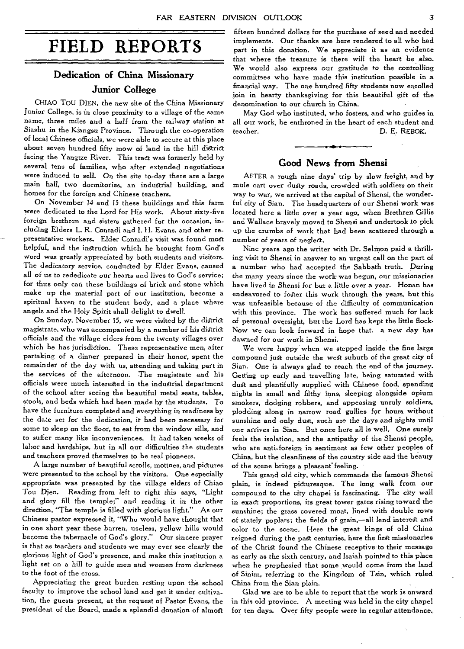# **FIELD REPORTS**

# **Dedication of China Missionary Junior College**

CHIAO TOU DJEN, the new site of the China Missionary Junior College, is in close proximity to a village of the same name, three miles and a half from the railway station at Siashu in the Kiangsu Province. Through the co-operation of local Chinese officials, we were able to secure at this place about seven hundred fifty mow of land in the hill district facing the Yangtze River. This tract was formerly held by several tens of families, who after extended negotiations were induced to sell. On the site to-day there are a large main hall, two dormitories, an industrial building, and homes for the foreign and Chinese teachers.

On November 14 and 15 these buildings and *this* farm were dedicated to the Lord for His work. About sixty-five foreign brethren and sisters gathered for the occasion, including Elders L. R. Conradi and I. H. Evans, and other representative workers. Elder Conradi's visit was found most helpful, and the instruction which he brought from God's word was greatly appreciated by both students and visitors. The dedicatory service, conducted by Elder Evans, caused all of *us* to rededicate our hearts and lives to God's service; for thus only can these buildings of brick and stone which make up the material part of our institution, become a spiritual haven to the student body, and a place where angels and the Holy Spirit shall delight to dwell.

On Sunday, November 15, we were visited by the district magistrate, who was accompanied by a number of his district officials and the village elders from the twenty villages over which he has *jurisdiction.* These representative men, after partaking of a dinner prepared in their honor, spent the remainder of the day with us, attending and taking part in the services of the afternoon. The magistrate and his officials were much interested in the industrial department of the school after seeing the beautiful metal seats, tables, stools, and beds which had been made by the students. To have the furniture completed and everything in readiness by the date set for the *dedication,* it had been necessary for some to sleep on the floor, to eat from the window sills, and to suffer many like inconveniences. It had taken weeks of labor and hardships, but in all our difficulties the students and teachers proved themselves to be real pioneers.

A large number of beautiful scrolls, mottoes, and pictures were presented to the school by the visitors. One especially appropriate was presented by the village elders of Chiao Tou Djen. Reading from *left* to right this *says,* "Light and glory fill the temple;" and reading it in the other direction, "The temple is filled with glorious light." As our Chinese pastor expressed it, "Who would have thought that in one short year these barren, useless, yellow hills would become the tabernacle of God's glory." Our sincere prayer is that as teachers and students we may ever see clearly the glorious light of God's presence, and make this institution a light set on a hill to guide men and women from darkness to the foot of the cross.

Appreciating the great burden resting upon the school faculty to improve the school land and get it under cultivation, the guests present, at the request of Pastor Evans, the president of the Board, made a splendid donation of almost

fifteen hundred dollars for the purchase of seed and needed implements. Our thanks are here rendered to all who had part in this donation. We appreciate it as an evidence that where the treasure is there will the heart be also. We would also express our gratitude to the controlling committees who have made this institution possible in a financial way. The one hundred fifty students now enrolled join in hearty thanksgiving for this beautiful gift of the denomination to our church in China.

May God who instituted, who fosters, and who guides in all our work, be enthroned in the heart of each student and teacher. D. E. REBOK.

#### **Good News from Shensi**

AFTER a rough nine days' trip by slow freight, and by mule cart over dusty roads, crowded with soldiers on their way to war, we arrived at the capital of Shensi, the wonderful *city* of Sian. The headquarters of our Shensi work was located here a little over a year ago, when Brethren Gillis and Wallace bravely moved to Shensi and undertook to pick up the crumbs of work that had been scattered through a number of years of neglect.

Nine years ago the writer with Dr. Selmon paid a thrilling visit to Shensi in answer to an urgent call on the part of a number who had accepted the Sabbath truth. During the many years since the work was begun, our missionaries have lived in Shensi for but a little over a year. Honan has endeavored to foster this work through the years, but this was unfeasible because of the difficulty of communication with this province. The work has suffered much for lack of personal oversight, but the Lord has kept the little flock. Now we can look forward in hope that. a new day has dawned for our work in Shensi.

We were happy when we stepped inside the fine large compound just outside the west suburb of the great city of Sian. One is always glad to reach the end of the journey. Getting up early and travelling late, being saturated with dust and plentifully supplied with Chinese food, spending nights in small and filthy inns, sleeping alongside opium smokers, dodging robbers, and appeasing unruly soldiers, plodding along in narrow road gullies for hours without sunshine and only dust, such are the days and *nights* until one *arrives* in Sian. But once here all is well, One surely feels the isolation, and the antipathy of the Shensi people, who are anti-foreign in sentiment as few other peoples of China, but the cleanliness of the country side and the beauty of the scene brings a pleasant feeling.

This grand old city, which commands the famous Shensi plain, is indeed pidturesque. The long walk from our compound to the *city* chapel is *fascinating.* The city wall in exact proportions, its great tower gates rising toward the sunshine; the grass covered moat, lined with double rows of stately poplars; the fields of grain,—all lend interest and color to the scene. Here the great kings of old China reigned during the past centuries, here the first missionaries of the Christ found the Chinese receptive to their message as early as the sixth century, and Isaiah pointed to this place when he prophesied that some would come *from* the land of Sinim, referring to the Kingdom of Tsin, which ruled China from the Sian plain.

Glad we are to be able to report that the work is onward in this old province. A meeting was held in the city chapel for ten days. Over fifty people were in regular attendance..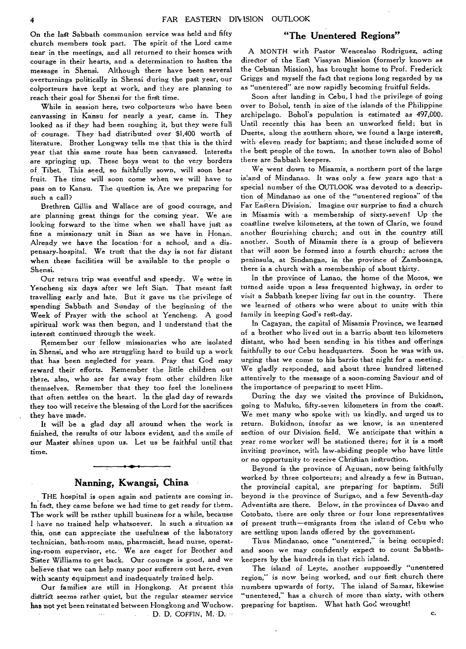On the last Sabbath communion service was held and fifty church members took part. The spirit of the Lord came near in the meetings, and all returned to their homes with courage in their hearts, and a determination to hasten the message in Shensi. Although there have been several overturnings politically in Shensi during the past year, our colporteurs have kept at work, and they are planning to reach their goal for Shensi for the first time.

While in session here, two colporteurs who have been canvassing in Kansu for nearly a year, came in. They looked as if they had been roughing it, but they were full of courage. They had distributed over \$1,400 worth of literature. Brother Longway tells me that this is the third year that this same route has been canvassed. Interests are springing up. These boys went to the very borders of Tibet. This seed, so faithfully sown, will soon bear fruit. The time will soon come when we will have to pass on to Kansu. The question is, Are we preparing for such a call?

Brethren Gillis and Wallace are of good courage, and are planning great things for the coming year. We are looking forward to the time when we shall have just as fine a missionary unit in Sian as we have in Honan. Already we have the location for a school, and a dispensary-hospital. We trust that the day is not far distant when these facilities will be available to the people o Shensi.

Our return trip was eventful and speedy. We were in Yencheng six days after we left Sian. That meant fast travelling early and late. But it gave us the privilege of spending Sabbath and Sunday of the beginning of the Week of Prayer with the school at Yencheng. A good spiritual work was then begun, and I understand that the interest continued through the week.

Remember our fellow missionaries who are isolated in Shensi, and who are struggling hard to build up a work that has been neglected for years. Pray that God may reward their efforts. Remember the little children out there, also, who are far away from other children like themselves. Remember that they too feel the loneliness that often settles on the heart. In the glad day of rewards they too will receive the blessing of the Lord for the sacrifices they have made.

It will be a glad day all around when the work is finished, the results of our labors evident, and the smile of our Master shines upon us. Let us be faithful until that time.

#### **Nanning, Kwangsi, China**

THE hospital is open again and patients are coming in. In fact, they came before we had time to get ready for them. The work will be rather uphill business for a while, because I have no trained help whatsoever. In such a situation as this, one can appreciate the usefulness of the laboratory technician, bath-room man, pharmacist, head nurse, operating-room supervisor, etc. We are eager for Brother and Sister Williams to get back. Our courage is good, and we believe that we can help many poor sufferers out here, even with scanty equipment and inadequately trained help.

Our families are still in Hongkong. At present this district seems rather quiet, but the regular steamer service has not yet been reinstated between Hongkong and Wuchow.  $\Box$  D. D. COFFIN, M. D.  $\sim 10^{-1}$ 

#### **"The Unentered Regions"**

A MONTH with Pastor Wenceslao Rodriguez, acting director of the East Visayan Mission (formerly known as the Cebuan Mission), has brought home to Prof. Frederick Griggs and myself the fact that regions long regarded by us as "unentered" are now rapidly becoming fruitful fields.

Soon after landing in Cebu, I had the privilege of going over to Bohol, tenth in size of the islands of the Philippine archipelago. Bohol's population is estimated as 497,000. Until recently this has been an unworked field; but in Duerte, along the southern shore, we found a large interest, with eleven ready for baptism; and these included some of the best people of the town. In another town also of Bohol there are Sabbath keepers.

We went down to Misamis, a northern port of the large island of Mindanao. It was only a few years ago that a special number of the OUTLOOK was devoted to a description of Mindanao as one of the "unentered regions" of the Far Eastern Division. Imagine our surprise to find a church in Misamis with a membership of sixty-seven! Up the coastline twelve kilometers, at the town of Clarin, we found another flourishing church; and out in the country still another. South of Misamis there is a group of believers that will soon be formed into a fourth church; across the peninsula, at Sindangan, *in* the province of Zamboanga, there is a church with a membership of about thirty.

In the province of Lanao, the home of the Moros, we turned aside upon a less frequented highway, in order to visit a Sabbath keeper living far out in the country. There we learned of others who were about to unite with this family in keeping God's rest-day.

In Cagayan, the capital of Misamis Province, we learned of a brother who lived out in a barrio about ten kilometers distant, who had been sending in his tithes and offerings faithfully to our Cebu headquarters. Soon he was with us, urging that we come to his barrio that night for a meeting. We gladly responded, and about three hundred listened attentively to the message of a soon-coming Saviour and of the importance of preparing to meet Him.

During the day we visited the province of Bukidnon, going to Maluko, fifty-seven kilometers in from the coast. We met many who spoke with us kindly, and urged us to return. Bukidnon, insofar as we know, is an unentered section of our Division field. We anticipate that within a year some worker will be stationed there; for it is a most inviting province, with law-abiding people who have little or no opportunity to receive Christian instruction.

Beyond is the province of Agusan, now being faithfully worked by three colporteurs; and already a few in Butuan, the provincial capital, are preparing for baptism. Still beyond is the province of Surigao, and a few Seventh-day Adventists are there. Below, in the provinces of Davao and Cotobato, there are only three or four lone representatives of present truth—emigrants from the island of Cebu who are settling upon lands offered by the government.

Thus Mindanao, once "unentered," is being occupied; and soon we may confidently expect to count Sabbathkeepers by the hundreds in that rich island.

The island of Leyte, another supposedly "unentered region," is now being worked, and our first church there numbers upwards of forty. The island of Samar, likewise "unentered," has a church of more than sixty, with others preparing for baptism. What hath God wrought!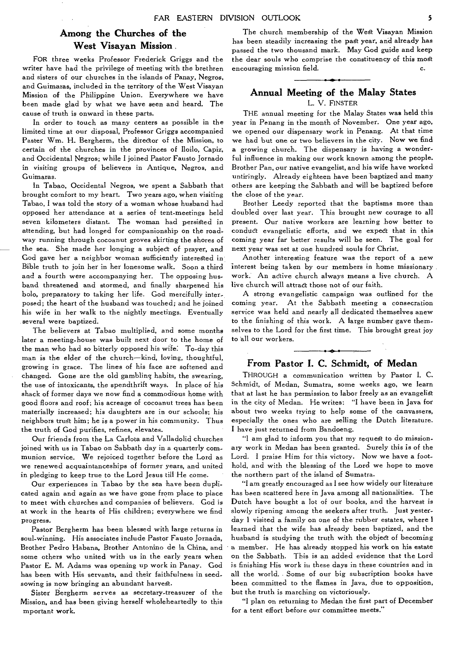## **Among the Churches of the West Visayan Mission .**

FOR three weeks Professor Frederick Griggs and the writer have had the privilege of meeting with the brethren and sisters of our churches in the islands of Panay, Negros, and Guimaras, included in the territory of the West Visayan Mission of the Philippine Union. Everywhere we have been made glad by what we have seen and heard. The cause *of* truth is onward in these parts.

In order to touch as many centers as possible in the limited time at our disposal, Professor Griggs accompanied Paster Wm. H. Bergherm, the director of the Mission, to certain of the churches in the provinces of Iloilo, Capiz, and Occidental Negros; while I joined Pastor Fausto Jornado in visiting groups of believers in Antique, Negros, and Guimaras.

In Tabao, Occidental Negros, we spent a Sabbath that brought comfort to my heart. Two years ago, when visiting Tabao, I was told the story of a woman whose husband had opposed her attendance at a series of tent-meetings held seven kilometers distant. The woman had persisted in attending, but had longed for companionship on the roadway running through cocoanut groves skirting the shores of the sea. She made her longing a subject of prayer, and God gave her a neighbor woman sufficiently interested in Bible truth to join her in her lonesome walk. Soon a third and a fourth were accompanying her. The opposing husband threatened and stormed, and finally sharpened his bolo, preparatory to taking her life. God mercifully interposed; the heart of the husband was touched; and he joined his wife in her walk to the nightly meetings. Eventually several were baptized.

The believers at Tabao multiplied, and some months later a meeting-house was built next door to the home of the man who had so bitterly opposed his wife: To-day this man is the elder of the church—kind, loving, thoughtful, growing in grace. The lines of his face are softened and changed. Gone are the old gambling habits, the swearing, the use of intoxicants, the spendthrift ways. In place of his shack of former days we now find a commodious home with good floors and roof; his acreage of cocoanut trees has been materially increased; his daughters are in our schools; his neighbors trust him; he is a power in his community. Thus the truth of God purifies, refines, elevates.

Our friends from the La Carlota and Valladolid churches joined with us in Tabao on Sabbath day in a quarterly communion service. We rejoiced together before the Lord as we renewed acquaintanceships of former years, and united in pledging to keep true to the Lord Jesus till He come.

Our experiences in Tabao by the sea have been duplicated again and again as we have gone from place to place to meet with churches and companies of believers. God is at work in the hearts of His children; everywhere we find progress.

Pastor Bergherm has been blessed with large returns in soul-winning. His associates include Pastor Fausto Jornada, Brother Pedro Habana, Brother Antonino de la China, and some others who united with us in the early years when Pastor E. M. Adams was opening up work in Panay. God has been with His servants, and their faithfulness in seedsowing is now bringing an abundant harvest.

Sister Bergherm serves as secretary-treasurer of the Mission, and has been giving herself wholeheartedly to this mportant work.

The church membership of the West Visayan Mission has been steadily increasing the past year, and already has passed the two thousand mark. May God guide and keep the dear souls who comprise the constituency of this most encouraging mission field. C.

# **Annual Meeting of the Malay States**

L. V. FINSTER

THE annual meeting for the Malay States was held this year in Penang in the month of November. One year ago, we opened our dispensary work in Penang. At that time we had but one or two believers in the city. Now we find a growing church. The dispensary is having a wonderful influence in making our work known among the people. Brother Pan, our native evangelist, and his wife have worked untiringly. Already eighteen have been baptized and many others are keeping the Sabbath and will be baptized before the close of the year.

Brother Leedy reported that the baptisms more than doubled over last year. This brought new courage to all present. Our native workers are learning how better to conduct evangelistic efforts, and we expect that in this coming year far better results will be seen. The goal for next year was set at one hundred souls for Christ.

Another interesting feature was the report of a new interest being taken by our members in home missionary work. An active church always means a live church. A live church will attract those not of our faith.

A strong evangelistic campaign was outlined for the coming year. At the Sabbath meeting a consecration service was held and nearly all dedicated themselves anew to the finishing of this work. A large number gave themselves to the Lord for the first time. This brought great joy to all our workers.

#### **From Pastor I. C. Schmidt, of Medan**

THROUGH a communication written by Pastor I. C. Schmidt, of Medan, Sumatra, some weeks ago, we learn that at last he has permission to labor freely as an evangelist in the city of Medan. He writes: "I have been in Java for about two weeks trying to help some of the canvassers, especially the ones who are selling the Dutch literature. I have just returned from Bandoeng.

"I am glad to inform you that my request to do missionary work in Medan has been granted. Surely this is of the Lord. I praise Him for this victory. Now we have a foothold, and with the blessing of the Lord we hope to move the northern part of the island of Sumatra.

"I am greatly encouraged as I see how widely our literature has been scattered here in Java among all nationalities. The Dutch have bought a lot of our books, and the harvest is slowly ripening among the seekers after truth. Just yesterday 1 visited a family on one of the rubber estates, where I learned that the wife has already been baptized, and the husband is studying the truth with the object of becoming a member. He has already stopped his work on his estate on the Sabbath. This is an added evidence that the Lord is finishing His work in these days in these countries and in all the world. Some of our big subscription books have been committed to the flames in Java, due to opposition, but the truth is marching on victoriously.

"I plan on returning to Medan the first part of December for a tent effort before our committee meets."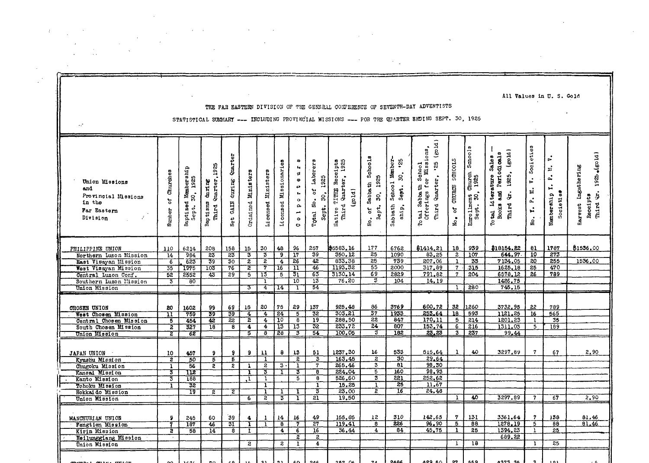| All Values in U.S. Gold<br>THE FAR EASTERN DIVISION OF THE GENERAL CONFERENCE OF SEVENTH-DAY ADVENTISTS<br>STATISTICAL SUMMARY --- INCLUDING PROVINCIAL MISSIONS --- FOR THE QUARTER BRUING SEPT. 30, 1925 |                                                                    |                                           |                                                                     |                                                                     |                                                                             |                                                    |                                                           |                                                                                                      |                                                                             |                                                                            |                                                                                  |                                                               |                                                                                            |                                                       |                                                |                                                                                              |                                               |                                                                      |                                                                           |
|------------------------------------------------------------------------------------------------------------------------------------------------------------------------------------------------------------|--------------------------------------------------------------------|-------------------------------------------|---------------------------------------------------------------------|---------------------------------------------------------------------|-----------------------------------------------------------------------------|----------------------------------------------------|-----------------------------------------------------------|------------------------------------------------------------------------------------------------------|-----------------------------------------------------------------------------|----------------------------------------------------------------------------|----------------------------------------------------------------------------------|---------------------------------------------------------------|--------------------------------------------------------------------------------------------|-------------------------------------------------------|------------------------------------------------|----------------------------------------------------------------------------------------------|-----------------------------------------------|----------------------------------------------------------------------|---------------------------------------------------------------------------|
| v.                                                                                                                                                                                                         |                                                                    |                                           |                                                                     |                                                                     |                                                                             |                                                    |                                                           |                                                                                                      |                                                                             |                                                                            |                                                                                  |                                                               |                                                                                            |                                                       |                                                |                                                                                              |                                               |                                                                      |                                                                           |
| Union Missions<br>and<br>Provincial Missions<br>in the<br>Par Eastern<br>Division                                                                                                                          | Churches<br>៵<br>Number                                            | Baptized Membershi<br>Sept. 30, 1925      | Quarter, 1925<br>$\frac{d}{dx}$ in 1985<br>Baptisms<br><b>Third</b> | Quarter<br>GAIN during<br>Net                                       | Ordained Ministers                                                          | Ministers<br>Li censed                             | Missionaries<br>Licensed                                  | ø<br>o<br>45<br>$\mathbf{t}$<br>$\circ$<br>$\mathbf{a}$<br>$\frac{1}{\circ}$<br>$\ddot{\phantom{0}}$ | Laborers<br>Sept. 30, 1925<br>ð<br>Total No.                                | Wative TITHE Receipts<br>Third Quarter, 1925<br>(g01d)                     | Sabbath Schools<br>1925<br>$\mathbf{s}$<br>Sept.<br>ð<br>se.                     | Sabbath School Member-<br>$\ddot{5}$<br>30.<br>Sept.<br>ship. | $\vec{a}$<br>tal Sabbath School<br>Offerings for Missions,<br>Ë<br>Third Quarter, '25<br>S | SCHOOLS<br><b>CHURCH</b><br>No. of                    | Schools<br>Enrollment Church<br>Sept. 30, 1925 | 1925, (gold)<br>Books and Periodicals<br>Sales<br>Literature<br>ė<br>Third<br><b>To tail</b> | Societies<br>E.<br>P. L.<br>$\ddot{u}$<br>No. | ι.<br>$\frac{1}{2}$<br>۵,<br>$\mathbf{r}$<br>Societies<br>Membership | $\clubsuit$ (gold)<br>Harvest Ingathering<br>1925<br>mird Qr.<br>Receipts |
| PHILIPPINE UNION<br>Northern Luzon Mission<br>East Visayan Mission<br>West Visayan Mission<br>Central Luzon Conf.<br>Southern Luzon Mission<br>Union Mission                                               | 110<br>$\overline{14}$<br>6<br>35<br>52<br>$\overline{\mathbf{3}}$ | 6214<br>984<br>623<br>1975<br>2552<br>80  | 208<br>$\overline{23}$<br>39<br>$\overline{103}$<br>43              | 158<br>$\overline{23}$<br>$\overline{30}$<br>76<br>29               | 15<br>$\overline{\mathbf{3}}$<br>$\overline{2}$<br>$\overline{2}$<br>5<br>3 | 30<br>3<br>$\overline{2}$<br>7<br>73<br>٦<br>4     | 48<br>$\overline{9}$ .<br>$\overline{4}$<br>T6<br>5<br>14 | 96<br>$\overline{17}$<br>26<br>דד<br>उा<br>$10^{-}$<br>т                                             | 257<br>39<br>$\overline{42}$<br>46<br>63<br>13<br>54                        | \$5583.16<br>350, 12<br>833.38<br>1193.32<br>3130.14<br>76.20              | 177<br>$\overline{25}$<br>25<br>55<br>69<br>З                                    | 6762<br>1090<br>739<br>2000<br>2829<br>104                    | \$1414.21<br>83,25<br>207,06<br>317,89<br>791.82<br>14,19                                  | 18<br>$\overline{z}$<br>1<br>$\overline{7}$<br>7<br>1 | 939<br>107<br>33<br>315<br>204<br>280          | \$18154.82<br>644.97<br>7134.05<br>1625.18<br>6578.12<br>1426.75<br>745.15                   | 81<br>10<br>20<br>25<br>26                    | 1787<br>273<br>255<br>470<br>789                                     | \$1536.00<br>1536.00                                                      |
| OROSEN UNION<br>West Chosen Mission<br>Central Chosen Mission<br>South Chosen Mission<br>Union Mission                                                                                                     | 20<br>π<br>$\overline{5}$<br>$\overline{z}$<br>$\overline{z}$      | 1602<br>759<br>454<br>527<br>62           | 99<br>39<br>42<br>18                                                | 69<br>$\overline{39}$<br>$\overline{2}2$<br>$\overline{\mathbf{a}}$ | 15<br>$\overline{4}$<br>$\overline{\mathbf{2}}$<br>4<br>$\overline{5}$      | 20<br>4<br>$\overline{\mathbf{4}}$<br>4<br>ड       | 75<br>24<br>$\overline{10}$<br>$\overline{13}$<br>28      | 29<br>5<br>$\overline{\epsilon}$<br>13<br>$\overline{3}$                                             | 137<br>32<br>19<br>32<br>$\overline{54}$                                    | 925,48<br>303, 21<br>288.50<br>233.72<br>100.05                            | 86<br>37<br>22<br>24<br>3                                                        | 3769<br>1933<br>847<br>807<br>162                             | 600.72<br>253.64<br>170.11<br>153.74<br>23.23                                              | 32<br>18<br>5<br>$6^{\circ}$<br>$3^{\circ}$           | 1260<br>593<br>214<br>216<br>237               | 3732.95<br>1121.25<br>1201.23<br>1311.03<br>99.44                                            | 22<br>16<br>1<br>5                            | 789<br>565<br>35<br>189                                              |                                                                           |
| JAPAN UNION<br>Kyushu Mission<br>Chugoku Mission<br>Kansai Mission<br>Kanto Mission<br>Tohoku Mission<br>Hokkaido Mission<br>Union Mission                                                                 | 10<br>$\overline{z}$<br>1<br>3<br>$\overline{\overline{3}}$<br>T   | 457<br>50<br>56<br>112<br>188<br>32<br>٦9 | 9<br>$\overline{5}$<br>$\overline{z}$<br>হ                          | 9<br>$\overline{5}$<br>2<br>$\overline{z}$                          | 9<br>1<br>1<br>л<br>6                                                       | 11<br>1<br>$\overline{z}$<br>3<br>T<br>T<br>ı<br>2 | 8<br>$3 -$<br>T<br>1<br>$\overline{\mathbf{3}}$           | 13<br>$\overline{2}$<br>$\overline{1}$<br>3<br>5<br>ī<br>т                                           | 51<br>3<br>7<br>$\overline{8}$<br>$\overline{8}$<br>$\mathbf{1}$<br>3<br>21 | 1237.30<br>163.45<br>265,46<br>224.04<br>526.60<br>15,25<br>23,00<br>19.50 | 16<br>$\overline{z}$<br>$\overline{\mathbf{3}}$<br>5<br>3<br>T<br>$\overline{2}$ | 533<br>30<br>81<br>160<br>221<br>25<br>16                     | 515.64<br>29.64<br>98,30<br>98, 93<br>252,62<br>11.67<br>24,46                             | 1<br>$\bf{I}$                                         | 40<br>40                                       | 3297.89<br>3297.89                                                                           | $\mathbf{7}$<br>-7                            | 67<br>67                                                             | 2.90<br>2.90                                                              |
| MANCEURIAN UNION<br>Fengtien Mission<br>Kirin Mission<br>Heilunggiang Mission<br>Union Mission                                                                                                             | 9.<br>$\overline{2}$                                               | 245<br>187<br>58                          | 60<br>46<br>14                                                      | 39<br>31<br>ड                                                       | 4<br>T<br>1.<br>$\overline{2}$                                              | 1                                                  | 14<br>$\overline{\mathbf{e}}$<br>4<br>2                   | 16<br>$\overline{\tau}$<br>7<br>$\overline{2}$<br>1                                                  | 49<br>27<br>16<br>$\boldsymbol{2}$<br>4                                     | 155.85<br>119.41<br>36,44                                                  | 12<br>٦B.<br>$\overline{4}$                                                      | 310<br>226<br>84                                              | 142,65<br>96.90<br>45,75                                                                   | 7.<br>5<br>1<br>$\mathbf{1}$                          | 131<br>$\overline{88}$<br>25<br>18             | 3361.64<br>1278.19<br>1394.23<br>689.22                                                      | 7<br>$5^{-}$<br>$\mathbf{1}$                  | 138<br>88<br>25<br>25                                                | 81,46<br>81.46                                                            |
|                                                                                                                                                                                                            |                                                                    |                                           |                                                                     |                                                                     |                                                                             |                                                    |                                                           |                                                                                                      |                                                                             |                                                                            |                                                                                  |                                                               | 490 E.A                                                                                    | 22                                                    | 0.60                                           | , 299 92                                                                                     |                                               |                                                                      |                                                                           |

 $\label{eq:2} \frac{1}{\sqrt{2}}\left(\frac{1}{\sqrt{2}}\right)^{2} \left(\frac{1}{\sqrt{2}}\right)^{2} \left(\frac{1}{\sqrt{2}}\right)^{2}$ 

 $\mathcal{L}(\mathcal{L}^{\text{max}})$  and  $\mathcal{L}^{\text{max}}$ 

 $\mathcal{L}_{\rm{max}}$  ,  $\mathcal{L}_{\rm{max}}$ 

**Contract Contract** 

 $\sim 10^{11}$  km s  $^{-1}$ 

 $\mathcal{A}^{\text{max}}_{\text{max}}$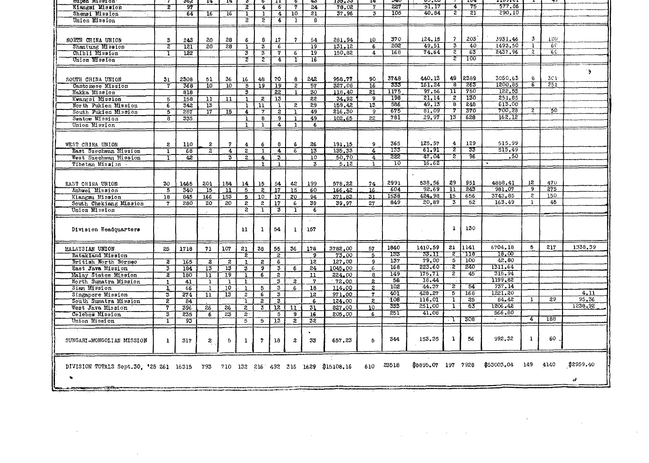| unber wrasron.                                                 |                           | ೧೦೯              | 14.              | 14                      | ₽                       | ь                                    | -11                     | ᢐ                | ক্ষ             | 199,90          | 14             | しせい              | 00.CO              |                         | 70 T             | *******    |                |      |           |
|----------------------------------------------------------------|---------------------------|------------------|------------------|-------------------------|-------------------------|--------------------------------------|-------------------------|------------------|-----------------|-----------------|----------------|------------------|--------------------|-------------------------|------------------|------------|----------------|------|-----------|
| Klangsi Mission                                                | इ                         | 97               |                  |                         | 2                       | $\overline{\mathbf{4}}$              | 6                       | 7                | 24              | 78.02           | 7              | 227              | 51.17              | 4                       | 75               | 577.86     |                |      |           |
| Shensi Mission                                                 |                           | $\overline{64}$  | $\overline{16}$  | $\overline{16}$         | τ                       | ı                                    | 4                       | $\overline{10}$  | 21              | 37.96           | 3              | 105              | 40.84              | ī                       | 21               | 290.10     |                |      |           |
| Union Mission                                                  |                           |                  |                  |                         | 2                       | $\overline{2}$                       | 4                       | 1                | 8               |                 |                |                  |                    |                         |                  |            |                |      |           |
|                                                                |                           |                  |                  |                         |                         |                                      |                         |                  |                 |                 |                |                  |                    |                         |                  |            |                |      |           |
|                                                                |                           |                  |                  |                         |                         |                                      |                         |                  |                 |                 |                |                  |                    |                         |                  |            |                |      |           |
| NORTH CHINA UNION                                              | 3                         | 243              | 20               | 28                      | 6                       | 8                                    | 17                      | 7                | 54              | 281.94          | 10             | 370              | 124.15             | 7                       | $203^{\circ}$    | 3931.46    | 3              | 120  |           |
| Shantung Mission                                               | 2                         | 121              | 20               | 28                      | ٦                       | $\overline{\mathbf{3}}$              | $\overline{6}$          |                  | 19              | 131.12          | 6              | 202              | 49.51              | $\overline{\mathbf{3}}$ | 40               | 1493.50    | $\mathbf{1}$   | 6C   |           |
|                                                                |                           |                  |                  |                         |                         |                                      |                         |                  |                 |                 |                | 168              | 74.64              | ᡓ                       | $\overline{63}$  | 2437.96    | $\overline{2}$ | 6C   |           |
| Chibli Mission                                                 | т                         | 122              |                  |                         | 3                       | $\overline{\overline{\overline{3}}}$ | 7                       | 6                | 19              | 150.82          | 4              |                  |                    |                         |                  |            |                |      |           |
| Union Mission                                                  |                           |                  |                  |                         | τ                       | 2                                    | $\overline{4}$          | т                | 16              |                 |                |                  |                    | $\overline{z}$          | <u> 100</u>      |            |                |      |           |
|                                                                |                           |                  |                  |                         |                         |                                      |                         |                  |                 |                 |                |                  |                    |                         |                  |            |                |      |           |
|                                                                |                           |                  |                  |                         |                         |                                      |                         |                  |                 |                 |                |                  |                    |                         |                  |            |                |      | 9         |
| SOUTH CHINA UNION                                              | 3 <sub>1</sub>            | 2308             | 51               | 36                      | 16                      | 48                                   | 70                      | 8                | 242             | 958.77          | 90             | 3748             | 440.13             | 49                      | 2389             | 3050.63    | $\theta$       | 301  |           |
| Cantonese Mission                                              | 7                         | 368              | 10 <sup>10</sup> | $\overline{10}$         | $\overline{5}$          | 19                                   | $\overline{19}$         | $\overline{z}$   | 57              | 327.08          | 16             | 335              | 161.24             | ு                       | 263              | 1200.85    | $\overline{6}$ | 251  |           |
| Hakka Mission                                                  |                           | 818              |                  |                         | 3                       |                                      | $\overline{22}$         | $\mathbf{L}$     | 30              | 118.40          | 21             | 1175             | 97.56              | π                       | 750              | 122.53     |                |      |           |
|                                                                |                           |                  |                  |                         |                         |                                      |                         |                  |                 |                 | 9              | 198              | 21.14              | $\overline{z}$          | 130              | 251.85     |                |      |           |
| Kwangsi Mission                                                | $\overline{5}$            | 158              | $\overline{11}$  | $\overline{\mathbf{u}}$ | $\overline{\mathbf{1}}$ | 2                                    | $13^{\circ}$            |                  | 22              | 34.92           |                |                  |                    |                         |                  |            |                |      |           |
| North Fukien Mission                                           | $\overline{6}$            | 342              | $\overline{13}$  |                         | 1                       | $\mathbf{1}$                         | T                       | $\mathbf{2}$     | 29              | 159.42          | 13             | 586              | 49,13              | $\overline{8}$          | 248              | 613.00     |                |      |           |
| South Fukien Mission                                           | 5                         | 287              | 17               | 15                      | 4                       | 7                                    | $\overline{z}$          | Ŧ                | 49              | 216.30          | 9.             | 675              | 81.09              | 7                       | 370              | 700.28     | $\overline{z}$ | 30.  |           |
| Swatow Mission                                                 | ह                         | 335.             |                  |                         | ī                       | 8                                    | $\overline{9}$          |                  | 49              | 102.65          | 22             | 781              | 29.97              | $\overline{13}$         | 628              | 162.12     |                |      |           |
| Union Mission                                                  |                           |                  |                  |                         | 1                       | 1                                    | 4                       | ı.               | 6               |                 |                |                  |                    |                         |                  |            |                |      |           |
|                                                                |                           |                  |                  |                         |                         |                                      |                         |                  |                 |                 |                |                  |                    |                         |                  |            |                |      |           |
|                                                                |                           |                  |                  |                         |                         |                                      |                         |                  |                 |                 |                |                  |                    |                         |                  |            |                |      |           |
|                                                                |                           |                  |                  |                         |                         |                                      |                         |                  |                 |                 |                |                  |                    |                         |                  |            |                |      |           |
| WEST CHINA UNION                                               | $\mathbf{2}$              | 110              | 2                | 7                       | 4                       | 6                                    | 8                       | 6                | 26              | 191.15          | 9              | 365              | 125,57             | 4                       | 129              | 515.99     |                |      |           |
| East Szechwan Mission                                          | ı                         | 68               | $\overline{2}$   | $\overline{\mathbf{4}}$ | $\overline{2}$          | 1                                    | $\overline{4}$          | $\overline{6}$   | 13              | 135.33          | 4              | 133              | 61.9I              | $\overline{z}$          | 33               | 515.49     |                |      |           |
| West Szechwan Mission                                          | ī                         | $\overline{42}$  |                  | $\overline{\mathbf{3}}$ | $\overline{z}$          | $\overline{4}$                       | $\overline{\mathbf{3}}$ |                  | $10^{-}$        | 50,70           | 4              | 222              | 47.04              | ट                       | 96               | .50        |                |      |           |
| Tibetan Mission                                                |                           |                  |                  |                         |                         | $\mathbf{1}$                         | $\mathbf{1}$            |                  | 3               | 5.12            | $\mathbf{1}$   | 10               | 16,62              |                         |                  |            |                |      |           |
|                                                                |                           |                  |                  |                         |                         |                                      |                         |                  |                 |                 |                |                  |                    |                         |                  |            |                |      |           |
|                                                                |                           |                  |                  |                         |                         |                                      |                         |                  |                 |                 |                |                  |                    |                         |                  |            |                |      |           |
|                                                                |                           |                  |                  |                         |                         |                                      |                         |                  |                 |                 |                |                  |                    |                         |                  |            |                |      |           |
| EAST CHINA UNION                                               | 30                        | 1465             | 201              | 184                     | 14                      | 15                                   | 54                      | 42               | 199             | 578,22          | 74             | 2991             | 538.56             | 29                      | 951              | 4888.41    | 12             | 470  |           |
| Anhwei Mission                                                 | $\overline{5}$            | 340              | 15               | $\overline{\mathbf{u}}$ | 5                       | $\overline{z}$                       | $\overline{17}$         | 15               | 60              | 166.42.         | 16             | 604              | 92.69              | נד                      | 243              | 981.07     | 9              | 275  |           |
| Kiangsu Mission                                                | 18                        | 845              | 166              | $\overline{153}$        | 5                       | 10                                   | 17                      | 20               | 94              | 371.83          | 31.            | 1538             | 424.98             | 15                      | 656              | 3743,85    | $\mathbf{2}$   | 150  |           |
| South Chekiang Mission                                         | $\mathbf{7}$              | 280              | 20               | 20                      | $\mathbf{z}$            | $\boldsymbol{z}$                     | 17                      | 6                | 39              | 39.97           | 27             | 849              | 20.89              | 3                       | 52               | 163,49     | $\mathbf{1}$   | 46   |           |
|                                                                |                           |                  |                  |                         | 2                       |                                      | 3                       |                  |                 |                 |                |                  |                    |                         |                  |            |                |      |           |
| Union Mission                                                  |                           |                  |                  |                         |                         | ı                                    |                         | ı                | -6              |                 |                |                  |                    |                         |                  |            |                |      |           |
|                                                                |                           |                  |                  |                         |                         |                                      |                         |                  |                 |                 |                |                  |                    |                         |                  |            |                |      |           |
|                                                                |                           |                  |                  |                         |                         |                                      |                         |                  |                 |                 |                |                  |                    |                         |                  |            |                |      |           |
| Division Headquarters                                          |                           |                  |                  |                         | 11                      | $\mathbf{1}$                         | 54                      | $\mathbf{1}$     | 167             |                 |                |                  |                    | $\mathbf{1}$            | 130              |            |                |      |           |
|                                                                |                           |                  |                  |                         |                         |                                      |                         |                  |                 |                 |                |                  |                    |                         |                  |            |                |      |           |
|                                                                |                           |                  |                  |                         |                         |                                      |                         |                  |                 |                 |                |                  |                    |                         |                  |            |                |      |           |
| MALAYSIAN UNION                                                | 25                        | 1718             | 71               | 107                     | 21                      | 38                                   | 55                      | 36               | 178             | 3782.00         | 57             | 1840             | 1410.59            | 21                      | 1141             | 6704.18    | 5.             | 217  | 1338.39   |
| Batakland Mission                                              |                           |                  |                  |                         | इ                       |                                      | $\overline{z}$          |                  | $\overline{9}$  | 73.00           | $5 -$          | 133              | 33.II              | $\overline{z}$          | $\tau_{\rm 115}$ | 18.00      |                |      |           |
|                                                                |                           |                  |                  |                         |                         |                                      |                         |                  |                 |                 |                | 137              | 79.00              | $\overline{5}$          | 100              | 42,80      |                |      |           |
| British North Borneo                                           | $\overline{z}$            | $\overline{165}$ | $\overline{2}$   | $\overline{c}$          | $\bf{1}$                | 2                                    | 6                       |                  | 12              | 127.00          | 9              |                  |                    |                         |                  |            |                |      |           |
| East Java Mission                                              | $\overline{\overline{3}}$ | 184              | 13               | $\overline{13}$         | $\overline{\mathbf{3}}$ | $\overline{9}$                       | 3                       | 6                | 24              | 1045.00         | 6              | 168              | 223.60             | -2                      | 240              | 1311.64    |                |      |           |
| Malay States Mission                                           | $\overline{z}$            | 180              | īī               | $\overline{19}$         | ī                       | $6\overline{6}$                      | $\overline{z}$          |                  | 11              | 224.00          | $\overline{8}$ | 149              | 175.71             | $\overline{z}$          | 45               | 315.94     |                |      |           |
| North Sumatra Mission                                          | $\overline{1}$            | 41               | $\mathbf{a}$     | T                       | $\mathbf{1}$            |                                      | $\boldsymbol{3}$        | $\overline{a}$   | 7               | 72.00           | $\overline{a}$ | 58               | 18.44              |                         |                  | 1199.82    |                |      |           |
| Siam Mission                                                   | т                         | 66               | $\mathbf{1}$     | $10^{-}$                | ī                       | $\overline{5}$                       | $\mathfrak{B}$          | 6                | 18              | 114.00          | $\mathbf{z}$   | 102              | 44.37              | $\overline{z}$          | 54               | 737.14     |                |      |           |
| Singapore Mission                                              | $\overline{\mathbf{3}}$   | 274              | $\overline{11}$  | $\overline{13}$         | $\boldsymbol{z}$        | 6                                    | 3                       |                  | 12              | 971.00          | 7              | 40T              | 428.27             | 5                       | 168              | 1221.20    |                |      | 4.11      |
|                                                                |                           |                  |                  |                         |                         |                                      |                         |                  |                 |                 | $\mathbf{2}$   | $\overline{108}$ | 116.01             | T                       | 25               | 84.42      | 1              | 29   | 95.36     |
| South Sumatra Mission                                          | $\overline{z}$            | 84               |                  |                         | τ                       | $\overline{z}$                       | $\overline{\mathbf{3}}$ |                  | 6               | 124.00          |                |                  |                    |                         |                  |            |                |      | 1238.92   |
| West Java Mission                                              | 7                         | 396              | 26               | 26                      | $\overline{z}$          | $\overline{\mathbf{3}}$              | $\overline{12}$         | 11               | 31              | 827,00          | 10             | 333              | 251.00             | т                       | 83               | 1206.42    |                |      |           |
| Celebes Mission                                                | ड                         | 235              | 6                | 23                      | $\overline{z}$ .        |                                      | -5                      | 9                | 16              | 205.00          | 6              | 251              | 41.08              |                         |                  | 566.80     |                |      |           |
| Union Mission                                                  | т                         | 93               |                  |                         | $\overline{5}$          | 5                                    | 13                      | $\overline{z}$   | $\overline{32}$ |                 |                |                  |                    | -1                      | 308              |            | 4              | 188  |           |
|                                                                |                           |                  |                  |                         |                         |                                      |                         |                  |                 |                 |                |                  |                    |                         |                  |            |                |      |           |
|                                                                |                           |                  |                  |                         |                         |                                      |                         |                  |                 |                 |                |                  |                    |                         |                  |            |                |      |           |
|                                                                |                           |                  |                  |                         |                         |                                      |                         |                  |                 |                 |                | 344              | 153.35             | 1                       | 56               | 992.32     | 1              | 60   |           |
| SUNGARI-MONGOLIAN MISSION                                      | $\mathbf{1}$              | 317              | 2                | 5                       | $\mathbf{1}$            | $\overline{\mathbf{z}}$              | 18                      | $\boldsymbol{2}$ | 33              | 657.23          | 5              |                  |                    |                         |                  |            |                |      |           |
|                                                                |                           |                  |                  |                         |                         |                                      |                         |                  |                 |                 |                |                  |                    |                         |                  |            |                |      |           |
|                                                                |                           |                  |                  |                         |                         |                                      |                         |                  |                 |                 |                |                  |                    |                         |                  |            |                |      |           |
|                                                                |                           |                  |                  |                         |                         |                                      |                         |                  |                 |                 |                |                  |                    |                         |                  |            |                |      |           |
| DIVISION TOTALS Sept.30, '25 261 16515 793 710 132 216 492 316 |                           |                  |                  |                         |                         |                                      |                         |                  |                 | 1629 \$15108.16 | 610            | 23518            | \$5895.07 197 7928 |                         |                  | \$53003.04 | 149            | 4140 | \$2959.40 |
|                                                                |                           |                  |                  |                         |                         |                                      |                         |                  |                 |                 |                |                  |                    |                         |                  |            |                |      |           |
| $\bullet$                                                      |                           |                  |                  |                         |                         |                                      |                         |                  |                 |                 |                |                  |                    |                         |                  |            |                |      |           |
|                                                                |                           |                  |                  |                         |                         |                                      |                         |                  |                 |                 |                |                  |                    |                         |                  |            |                |      | ð         |
|                                                                |                           |                  |                  |                         |                         |                                      |                         |                  |                 |                 |                |                  |                    |                         |                  |            |                |      |           |
|                                                                |                           |                  |                  |                         |                         |                                      |                         |                  |                 |                 |                |                  |                    |                         |                  |            |                |      |           |

 $\mathcal{A}^{\mathcal{A}}_{\mathcal{A}}$  and  $\mathcal{A}^{\mathcal{A}}_{\mathcal{A}}$  are the simple point of the following  $\mathcal{A}^{\mathcal{A}}_{\mathcal{A}}$ 

 $\mathcal{L}(\mathcal{A})$  and  $\mathcal{L}(\mathcal{A})$ 

 $\label{eq:2.1} \frac{1}{2} \int_{\mathbb{R}^3} \frac{1}{\sqrt{2}} \, \frac{1}{\sqrt{2}} \, \frac{1}{\sqrt{2}} \, \frac{1}{\sqrt{2}} \, \frac{1}{\sqrt{2}} \, \frac{1}{\sqrt{2}} \, \frac{1}{\sqrt{2}} \, \frac{1}{\sqrt{2}} \, \frac{1}{\sqrt{2}} \, \frac{1}{\sqrt{2}} \, \frac{1}{\sqrt{2}} \, \frac{1}{\sqrt{2}} \, \frac{1}{\sqrt{2}} \, \frac{1}{\sqrt{2}} \, \frac{1}{\sqrt{2}} \, \frac{1}{\sqrt{2}} \,$ 

 $\label{eq:2.1} \frac{d\mathbf{r}}{d\mathbf{r}} = \frac{1}{2} \left( \frac{d\mathbf{r}}{d\mathbf{r}} + \frac{d\mathbf{r}}{d\mathbf{r}} \right)$ 

 $\mathcal{L}_{\text{max}}$  ,  $\mathcal{L}_{\text{max}}$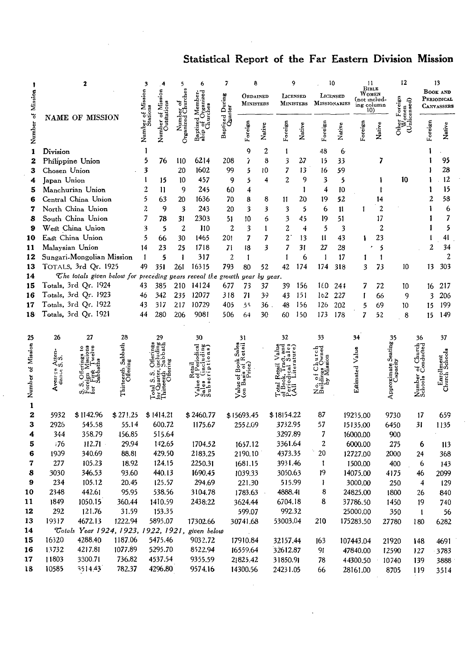# Statistical Report of the Far Eastern Division Mission

|                   |                 | 2                                                                 |              | 3                                     |                  | 5              | 6         | 7                          |                                | 8            |            | 9                |                     | 10       | 11                            |                  | 12                          |                        | 13                            |
|-------------------|-----------------|-------------------------------------------------------------------|--------------|---------------------------------------|------------------|----------------|-----------|----------------------------|--------------------------------|--------------|------------|------------------|---------------------|----------|-------------------------------|------------------|-----------------------------|------------------------|-------------------------------|
|                   | Mission         |                                                                   |              |                                       | Mission          | Churches       |           |                            | ORDAINED                       |              |            | <b>LICENSED</b>  |                     | LICENSED | Women<br>(not ınclud-         | BIBLE            |                             |                        | <b>BOOK AND</b><br>PERIODICAL |
|                   |                 |                                                                   |              | of Mission<br>tations                 |                  |                |           |                            | <b>MINISTERS</b>               |              |            | <b>MINISTERS</b> | <b>MISSIONARIES</b> |          | ing column<br>10 <sub>1</sub> |                  | Foreign<br>icensed)<br>omen |                        | CANVASSERS                    |
| ö                 |                 | NAME OF MISSION                                                   |              |                                       | Outstations<br>ö | Organized      | ptize     | Baptized During<br>Quarter |                                |              |            |                  |                     |          |                               |                  | Other                       |                        |                               |
| Number            |                 |                                                                   |              | Number<br>$\mathring{\mathfrak{Z}}_t$ | Number           |                |           |                            | Foreign                        | Native       | Foreign    | Native           | Foreign             | Native   | Foreign                       | Native           | डु                          | Foreign                | Native                        |
| 1                 | Division        |                                                                   |              | 1                                     |                  |                |           |                            | 9                              | 2            |            |                  | 48                  | 6        |                               |                  |                             |                        |                               |
| 2                 |                 | Philippine Union                                                  |              | 5                                     | 76               | 110            | 6214      | 208                        | Ž                              | 8            | 3          | 27               | 15                  | 33       |                               | 7                |                             |                        | 95                            |
| 3                 | Chosen Union    |                                                                   |              | 3                                     |                  | 20             | 1602      | 99                         | 5                              | 10           | 7          | 13               | 16                  | 59       |                               |                  |                             |                        | 28                            |
| 4                 | Japan Union     |                                                                   |              | 1                                     | 15               | 10             | 457       | 9                          | 5                              | 4            | 2          | 9                | 3                   | 5        |                               | 1                | 10                          |                        | 12                            |
| 5                 |                 | Manchurian Union                                                  |              | 2                                     | 11               | 9              | 245       | 60                         | 4                              |              |            | 1                | 4                   | 10       |                               |                  |                             |                        | 15                            |
| 6                 |                 | Central China Union                                               |              | 5                                     | 63               | 20             | 1636      | 70                         | 8                              | 8            | 11         | 20               | 19                  | 52       |                               | 14               |                             |                        | 58<br>2                       |
| 7                 |                 | North China Union                                                 |              | 2                                     | 9                | 3              | 243       | 20                         | 3                              | 3            | 3          | 5                | 6                   | 11       | 1                             | $\boldsymbol{2}$ |                             |                        | 6                             |
| 8                 |                 | South China Union                                                 |              | 7                                     | 78               | 31             | 2303      | 51                         | 10                             | 6            | 3          | 45               | 19                  | 51       |                               | 17               |                             |                        | 7                             |
| 9                 |                 | West China Union                                                  |              | 3                                     | 5                | $\overline{2}$ | 110       | $\overline{2}$             | 3                              | $\mathbf{I}$ | 2          | 4                | 5                   | 3        |                               | 2                |                             |                        | 5                             |
| 10                |                 | East China Union                                                  |              | 5                                     | 66               | 30             | 1465      | 201                        | 7                              | 7            | 2          | 13               | 11                  | 43       |                               | 23               |                             |                        | 41                            |
| 11                | Malaysian Union |                                                                   |              | 14                                    | 23               | 25             | 1718      | 71                         | 18                             | 3            | 7          | 31               | 27                  | 28       |                               | 5                |                             |                        | 34<br>2                       |
| 12                |                 | Sungari-Mongolian Mission                                         |              | 1                                     | 5                | $\mathbf{I}$   | 317       | $\overline{2}$             | 1                              |              | 1          | 6                | $\overline{1}$      | 17       |                               | 1                |                             |                        | $\mathbf{z}$                  |
| 13                |                 | TOTALS, 3rd Qr. 1925                                              |              | 49                                    | 351              | 261            | 16315     | 793                        | 80                             | 52           | 42         | 174              | 174                 | 318      | 3                             | 73               | 10                          | 13                     | 303                           |
| 14                |                 | The totals given below for preceding years reveal the growth year |              |                                       |                  |                |           |                            |                                | by year.     |            |                  |                     |          |                               |                  |                             |                        |                               |
| 15                |                 | Totals, 3rd Qr. 1924                                              |              | 43                                    | 385              | 210            | 14124     | 677                        | 73                             | 37           | 39         | 156              | 160                 | 244      | 7                             | 72               | 10                          | 16                     | 217                           |
| 16                |                 | Totals, 3rd Qr. 1923                                              |              | 46                                    | 342              | 235            | 12077     | 318                        | 71                             | 39           | 43         | 151              | 162                 | 227      | 1                             | 66               | 9                           |                        | 206<br>3                      |
| 17                |                 | Totals, 3rd Qr. 1922                                              |              | 43                                    | 317              | 217            | 10729     | 405                        | 55                             | $36$ .       | 48         | 156              | 126                 | 202      | 5                             | 69               | 10                          | 15                     | 199                           |
| 18                |                 | Totals, 3rd Qr. 1921                                              |              | 44                                    | 280              | 206            | 9081      | 506                        | 64                             | 30           | 60         | 150              | 173                 | 178      | 7                             | 52               | 8                           | 15                     | 149                           |
| 25                | 26              | 27                                                                | 28           |                                       | 29               |                | 30        |                            | 31                             |              | 32         |                  | 33                  |          | 34                            |                  | 35                          | 36                     | 37                            |
|                   |                 |                                                                   |              |                                       |                  |                | ಕ         |                            |                                |              |            |                  |                     |          |                               |                  | Seating                     |                        |                               |
|                   | Atten<br>S.S.   |                                                                   | Sabbath      |                                       |                  |                |           |                            |                                |              |            |                  |                     |          |                               |                  |                             | of Church<br>Conducted |                               |
|                   |                 |                                                                   |              |                                       |                  |                |           |                            |                                |              |            |                  |                     |          |                               |                  |                             |                        |                               |
| Number of Mission | Averrse         |                                                                   | Thirteenth S |                                       |                  |                |           |                            |                                |              |            |                  | Ò.                  |          | Estimated Value               |                  | Approximate S<br>Capacity   |                        | Enrollment<br>Church School   |
|                   |                 | ă                                                                 |              |                                       | ්                |                |           |                            | $\rm V_{\rm an\ B}^{\rm blue}$ |              |            |                  |                     |          |                               |                  |                             | Number<br>Schools      |                               |
|                   |                 | σÏ                                                                |              |                                       | Total            |                | ັດ<br>ທີ່ |                            |                                |              |            |                  | zm                  |          |                               |                  |                             |                        |                               |
| $\mathbf{1}$<br>2 | 5932            | \$1142.96                                                         | \$27!.25     |                                       | \$1414.21        |                | \$2460.77 |                            | \$15693.45                     |              | \$18154.22 |                  | 87                  |          | 19235.00                      |                  | 9730                        | 17                     | 659                           |
| 3                 | 2926            | 545.58                                                            | 55.14        |                                       | 600.72           |                | 1175.67   |                            | 2552.09                        |              | 3732.95    |                  | 57                  |          | 15135.00                      |                  | 6450                        | 31                     | 1135                          |
| 4                 | 344             | 358.79                                                            | 156.85       |                                       | 515.64           |                |           |                            |                                |              | 3297.89    |                  | 7                   |          | 16000.00                      |                  | 900                         |                        |                               |
| 5                 | :76             | 112.71                                                            | 29.94        |                                       | 142.65           |                | 1704.52   |                            | 1657.12                        |              | 3361.64    |                  | 2                   |          | 6000.00                       |                  | 275                         | 6                      | 113                           |
| 6                 | 1939            | 340.69                                                            | 88.81        |                                       | 429.50           |                | 2183.25   |                            | 2190.10                        |              | 4373.35    |                  | 20                  |          | 12727.00                      |                  | 2000                        | 24                     | 368                           |
| 7                 | 277             | 105.23                                                            | 18.92        |                                       | 124.15           |                | 2250.31   |                            | 1681.15                        |              | 3931.46    |                  | 1                   |          | 1500.00                       |                  | 400                         | 6                      | 143                           |
| 8                 | 3030            | 346.53                                                            | 93.60        |                                       | 440.13           |                | 1690.45   |                            | 1039.33                        |              | 3050.63    |                  | 19                  |          | 14075.00                      |                  | 4175                        | 46                     | 2099                          |
| 9                 | 234             | 105.12                                                            | 20.45        |                                       | 125.57           |                | 294.69    |                            | 221.30                         |              | 515.99     |                  | T                   |          | 3000.00                       |                  | 250                         | 4                      | 129                           |
| 10                | 2348            | 442.61                                                            | 95.95        |                                       | 538.56           |                | 3104.78   |                            | 1783.63                        |              | 4888.41    |                  | 8                   |          | 24825.00                      |                  | 1800                        | 26                     | 840                           |
| 11                | 1849            | 1050.15                                                           | 360.44       |                                       | 1410.59          |                | 2438.22   |                            | 3624.44                        |              | 6704.18    |                  | 8                   |          | 37786.50                      |                  | 1450                        | 19                     | 740                           |
| 12                | 292             | 121.76                                                            | 31.59        |                                       | 153.35           |                |           |                            | 599.07                         |              | 992.32     |                  |                     |          | 25000.00                      |                  | 350                         | $\mathbf{I}$           | 56                            |
| 13                | 19317           | 4672.13                                                           | 1222.94      |                                       | 5895.07          |                | 17302.66  |                            | 30741.68                       |              | 53003.04   |                  | 210                 |          | 175283.50                     |                  | 27780                       | 180                    | 6282                          |
| 14                |                 | Totals Year 1924, 1923, 1922, 1921, given below                   |              |                                       |                  |                |           |                            |                                |              |            |                  |                     |          |                               |                  |                             |                        |                               |
| 15                | 16320           | 4288.40                                                           | 1187.06      |                                       | 5475.46          |                | 9032.72   |                            | 17910.84                       |              | 32157.44   |                  | 163                 |          | 107443.04                     |                  | 21920                       | 148                    | 4691                          |
| 16                | 13732           | 4217.81                                                           | 1077.89      |                                       | 5295.70          |                | 8522.94   |                            | 16559.64                       |              | 32612.87   |                  | 91                  |          | 47840.00                      |                  | 12590                       | 127                    | 3783                          |
| $\bf 17$          | 11803           | 3300.71                                                           | 736.82       |                                       | 4537.54          |                | 9355.59   |                            | 21825.42                       |              | 31850.91   |                  | 78                  |          | 44300.50                      |                  | 10740                       | 139                    | 3888                          |
| 18                | 10585           | 3514.43                                                           | 782.37       |                                       | 4296.80          |                | 9574.16   |                            | 14300.56                       |              | 24231.05   |                  | 66                  |          | 28161.00                      |                  | 8705                        | 119                    | 3514                          |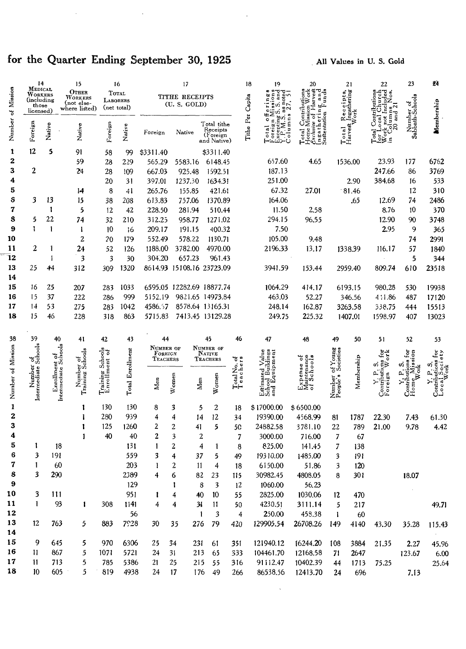# for the Quarter Ending September 30, 1925

 $\cdot$ 

 $\bar{z}$ 

u,

All Values in U.S. Gold

|                   | 14<br>Medical                               |                                     | 15                                              |                                   | 16                     |                      | 17                                   |                                                    |                          | 18<br>19                                                                                                                                                                                                                                                                                                            | 20                                                                      |                    | 21                                 | 22                                                                                            | 23                                                                                                                    | 24                           |
|-------------------|---------------------------------------------|-------------------------------------|-------------------------------------------------|-----------------------------------|------------------------|----------------------|--------------------------------------|----------------------------------------------------|--------------------------|---------------------------------------------------------------------------------------------------------------------------------------------------------------------------------------------------------------------------------------------------------------------------------------------------------------------|-------------------------------------------------------------------------|--------------------|------------------------------------|-----------------------------------------------------------------------------------------------|-----------------------------------------------------------------------------------------------------------------------|------------------------------|
|                   | WORKERS<br>(including<br>those<br>licensed) |                                     | OTHER<br>WORKERS<br>(not else-<br>where listed) | <b>LABORERS</b>                   | TOTAL<br>(net total)   |                      | <b>TITHE RECEIPTS</b><br>(U.S. GOLD) |                                                    |                          | ್ರ<br>$rac{1}{2}$<br>м<br>ā<br>Σ,<br>$\frac{3}{5}$                                                                                                                                                                                                                                                                  | ž<br>Contributi                                                         |                    | Receipts,<br>t Ingathering<br>Work | $\frac{5}{9}$<br>$\ddot{\circ}$<br>ăur                                                        |                                                                                                                       |                              |
| Number of Mission | Foreign                                     | Native                              | Native                                          | Foreign                           | Native                 | Foreign              | Native                               | Total tithe<br>Receipts<br>(Foreign<br>and Native) |                          | Tithe Per Capita<br>$\begin{array}{l} \textbf{Total} \text{ of }\mathbf{e}\\ \textbf{Foreign} \text{ M}\\ \textbf{Exceping} \textbf{S}\\ \textbf{X}.\textbf{P}.\textbf{M}.\textbf{S} \textbf{a}\\ \textbf{M}.\textbf{S} \textbf{a}\\ \textbf{C} \textbf{O} \textbf{I} \textbf{m} \textbf{n} \textbf{s} \end{array}$ | Ingathering and<br>Sustentation Funds<br>Jome Mission<br>lome l<br>otal |                    | Total<br>Harvest                   | not Incl<br>$_{20}^{\text{columns}}$<br>Contri<br>.ocal<br>örk<br>cta<br>$\mathbb{R}^2$<br>É. | Number of<br>Sabbath-Schoola                                                                                          | Membership                   |
| 1                 | 12                                          | 5                                   | 91                                              | 58                                | 99                     | \$3311.40            |                                      | \$3311.40                                          |                          |                                                                                                                                                                                                                                                                                                                     |                                                                         |                    |                                    |                                                                                               |                                                                                                                       |                              |
| 2                 |                                             |                                     | 59                                              | 28                                | 229                    | 565.29               | 5583.16                              | 6148.45                                            |                          | 657.60                                                                                                                                                                                                                                                                                                              | 4.65                                                                    |                    | 1536.00                            | 23.93                                                                                         | 177                                                                                                                   | 6762                         |
| 3                 | $\mathbf{2}$                                |                                     | 24                                              | 28                                | 109                    | 667.03               | 925.48                               | 1592.51                                            |                          | 187.13                                                                                                                                                                                                                                                                                                              |                                                                         |                    |                                    | 247.66                                                                                        | 86                                                                                                                    | 3769                         |
| 4                 |                                             |                                     |                                                 | 20                                | 31                     | 397.01               | 1237.30                              | 1634.31                                            |                          | 251.00                                                                                                                                                                                                                                                                                                              |                                                                         |                    | 2.90                               | 384.68                                                                                        | 16                                                                                                                    | 533                          |
| 5                 |                                             |                                     | 14                                              | 8                                 | 41                     | 265.76               | 155.85                               | 421.61                                             |                          | 67.32                                                                                                                                                                                                                                                                                                               | 27.01                                                                   |                    | 81.46                              |                                                                                               | 12                                                                                                                    | 310                          |
| s                 | 3                                           | 13                                  | 15                                              | 38                                | 208                    | 613.83               | 757.06                               | 1370.89                                            |                          | 164.06                                                                                                                                                                                                                                                                                                              |                                                                         |                    | .65                                | 12.69                                                                                         | 74                                                                                                                    | 2486                         |
| 7                 |                                             | 1                                   | 5                                               | $12 \,$                           | 42                     | 228.50               | 281.94                               | 510.44                                             |                          | 11.50                                                                                                                                                                                                                                                                                                               | 2.58                                                                    |                    |                                    | 8.76                                                                                          | 10                                                                                                                    | 370                          |
| 8                 | 5                                           | 22                                  | 74                                              | 32                                | 210                    | 312.25               | 958.77                               | 1271.02                                            |                          | 294.15                                                                                                                                                                                                                                                                                                              | 96,55                                                                   |                    |                                    | 12.90                                                                                         | 90                                                                                                                    | 3748                         |
| 9                 | ī                                           | 1                                   | 1                                               | 10                                | 16                     | 209.17               | 191.15                               | 400.32                                             |                          | 7.50                                                                                                                                                                                                                                                                                                                |                                                                         |                    |                                    | 2.95                                                                                          | 9                                                                                                                     | 365                          |
| 10                |                                             |                                     | 2                                               | 20                                | 179                    | 552.49               | 578.22                               | 1130.71                                            |                          | 105.00                                                                                                                                                                                                                                                                                                              | 9.48                                                                    |                    |                                    |                                                                                               | 74                                                                                                                    | 2991                         |
| 11                | 2                                           | ı                                   | 24                                              | 52                                | 126                    | 1188.00              | 3782.00                              | 4970.00                                            |                          | 2196.33                                                                                                                                                                                                                                                                                                             | 13.17                                                                   |                    | 1338.39                            | 116.17                                                                                        | 57                                                                                                                    | 1840                         |
| 12                |                                             | $\mathbf{I}$                        | 3                                               | 3                                 | 30                     | 304.20               | 657.23                               | 961.43                                             |                          |                                                                                                                                                                                                                                                                                                                     |                                                                         |                    |                                    |                                                                                               | 5                                                                                                                     | 344                          |
| 13<br>14          | 25                                          | 44                                  | 312                                             | 309                               | 1320                   |                      |                                      | 8614.93 15108.16 23723.09                          |                          | 3941.59                                                                                                                                                                                                                                                                                                             | 153.44                                                                  |                    | 2959.40                            | 809.74                                                                                        | 610                                                                                                                   | 23518                        |
| 15                | 16                                          | 25                                  | 207                                             | 283                               | 1033                   |                      |                                      | 6595.05 12282.69 18877.74                          |                          | 1064.29                                                                                                                                                                                                                                                                                                             | 414.17                                                                  |                    | 6193.15                            | 980.28                                                                                        | 530                                                                                                                   | 19938                        |
| 16                | 15                                          | 37                                  | 222                                             | 286                               | 999                    | 5152.19              |                                      | 9821.65 14973.84                                   |                          | 463.03                                                                                                                                                                                                                                                                                                              | 52.27                                                                   |                    | 346.56                             | 4:1.86                                                                                        | 487                                                                                                                   | 17120                        |
| 17                | $\frac{1}{4}$                               | 53                                  | 275                                             | 283                               | 1042                   | 4586.57              |                                      | 8578.64 13165.31                                   |                          | 248.14                                                                                                                                                                                                                                                                                                              | 162.87                                                                  |                    | 3263.58                            | 338.75                                                                                        | 444                                                                                                                   | 15513                        |
| 18                | 15                                          | 46                                  | 228                                             | 318                               | 863                    | 5715.83              |                                      | 7413.45 13129.28                                   |                          | 249.75                                                                                                                                                                                                                                                                                                              | 225.32                                                                  |                    | 1407.01                            | 1598.97                                                                                       | 407                                                                                                                   | 13023                        |
|                   |                                             |                                     |                                                 |                                   |                        |                      |                                      |                                                    |                          |                                                                                                                                                                                                                                                                                                                     |                                                                         |                    |                                    |                                                                                               |                                                                                                                       |                              |
| 38                | 39                                          | 40                                  | 41                                              | 42                                | 43                     | 44                   |                                      | 45                                                 | 46                       | 47                                                                                                                                                                                                                                                                                                                  | 48                                                                      | 49                 | 50                                 | 51                                                                                            | 52                                                                                                                    | 53                           |
|                   |                                             |                                     |                                                 |                                   |                        | NUMBER OF<br>FOREIGN |                                      | NUMBER OF<br>NATIVE                                |                          |                                                                                                                                                                                                                                                                                                                     |                                                                         |                    |                                    | $\dot{\tilde{\varepsilon}}$                                                                   |                                                                                                                       | Ğ,                           |
|                   |                                             |                                     |                                                 |                                   |                        | TEACHERS             |                                      | TEACHERS                                           |                          |                                                                                                                                                                                                                                                                                                                     | $\circ$                                                                 | of Young           |                                    | ă<br>eng<br>≫<br>ທັ                                                                           | σi                                                                                                                    |                              |
|                   |                                             |                                     |                                                 |                                   |                        |                      |                                      |                                                    |                          |                                                                                                                                                                                                                                                                                                                     |                                                                         |                    |                                    | ρ.                                                                                            |                                                                                                                       | u Society<br>Work<br>butions |
|                   |                                             |                                     |                                                 | Training Schools<br>Enrollment of |                        | Men                  | Women                                | Women<br>Men                                       | Total No. of<br>Teachers |                                                                                                                                                                                                                                                                                                                     | Jaintenance<br>f Schools<br>Expense<br>Maintenan<br>of Schoo            |                    | Membership                         |                                                                                               |                                                                                                                       |                              |
| Number of Mission | Number of<br>Intermediate Schools           | Enrolment of<br>Intermedate Schools | Number of<br>Training Schools                   |                                   | <b>Total Enrolment</b> |                      |                                      |                                                    |                          | Estimated Value<br>School Buildings<br>and Equipment                                                                                                                                                                                                                                                                |                                                                         | Number<br>People's |                                    | Contribution<br>Foreign                                                                       | $\begin{array}{ll} \textbf{Contribution for} \\\textbf{Home} \textbf{M} \textbf{is sion} \\\textbf{Work} \end{array}$ | $\frac{1}{\sqrt{2}}$         |
| 1                 |                                             |                                     |                                                 | 130                               | 130                    | 8                    | 3                                    | $\boldsymbol{2}$<br>5                              | 18                       | \$17000.00                                                                                                                                                                                                                                                                                                          | \$6500.00                                                               |                    |                                    |                                                                                               |                                                                                                                       |                              |
| 2                 |                                             |                                     |                                                 | 280                               | 939                    | 4                    | 4                                    | 12<br>14                                           | 34                       | 19390.00                                                                                                                                                                                                                                                                                                            | 4568.99                                                                 | 81                 | 1787                               | 22,30                                                                                         | 7.43                                                                                                                  | 61.30                        |
| 3                 |                                             |                                     |                                                 | 125                               | 1260                   | 2                    | 2                                    | 5<br>41                                            | 50                       | 24882.58                                                                                                                                                                                                                                                                                                            | 3781.10                                                                 | 22                 | 789                                | 21.00                                                                                         | 9.78                                                                                                                  | 4.42                         |
| 4                 |                                             |                                     |                                                 | 40                                | 40                     | 2                    | 3                                    | 2                                                  | 7                        | 3000.00                                                                                                                                                                                                                                                                                                             | 716.00                                                                  | 7                  | 67                                 |                                                                                               |                                                                                                                       |                              |
| 5                 | I                                           | 18                                  |                                                 |                                   | 131                    | 1                    | 2                                    | 4<br>1                                             | 8                        | 825.00                                                                                                                                                                                                                                                                                                              | 141.45                                                                  | 7                  | 138                                |                                                                                               |                                                                                                                       |                              |
| 6                 | 3                                           | 191                                 |                                                 |                                   | 559                    | 3                    | 4                                    | 37<br>5                                            | 49                       | 19310.00                                                                                                                                                                                                                                                                                                            | 1485.00                                                                 | 3                  | 191                                |                                                                                               |                                                                                                                       |                              |
| 7                 | 1                                           | 60                                  |                                                 |                                   | 203                    | 1                    | 2                                    | 4<br>11                                            | 18                       | 6150.00                                                                                                                                                                                                                                                                                                             | 51.86                                                                   | 3                  | 120                                |                                                                                               |                                                                                                                       |                              |
| 8                 | 3                                           | 290                                 |                                                 |                                   | 2389                   | 4                    | 6                                    | 82<br>23                                           | 115                      | 30982.45                                                                                                                                                                                                                                                                                                            | 4808.05                                                                 | 8                  | 301                                |                                                                                               | 18.07                                                                                                                 |                              |
| 9                 |                                             |                                     |                                                 |                                   | 129                    |                      | t                                    | 8<br>3                                             | 12                       | 1060.00                                                                                                                                                                                                                                                                                                             | 56.23                                                                   |                    |                                    |                                                                                               |                                                                                                                       |                              |
| 10                | 3                                           | 111                                 |                                                 |                                   | 951                    | 1                    | 4                                    | 40<br>10                                           | 55                       | 2825.00                                                                                                                                                                                                                                                                                                             | 1030,06                                                                 | 12                 | 470                                |                                                                                               |                                                                                                                       |                              |
| 11                | 1                                           | 93                                  | 1                                               | 308                               | 1141                   | 4                    | 4                                    | 34<br>11                                           | 50                       | 4230.51                                                                                                                                                                                                                                                                                                             | 3111.14                                                                 | 5                  | 217                                |                                                                                               |                                                                                                                       | 49.71                        |
| 12                |                                             |                                     |                                                 |                                   | 56                     |                      |                                      | 3<br>$\mathbf{1}$                                  | $\overline{4}$           | 250.00                                                                                                                                                                                                                                                                                                              | 458.38                                                                  | 1                  | 60                                 |                                                                                               |                                                                                                                       |                              |
| 13                | 12                                          | 763                                 | 5                                               | 883                               | 7928                   | 30                   | 35                                   | 276<br>79                                          | 420                      | 129905.54                                                                                                                                                                                                                                                                                                           | 26708.26                                                                | 149                | 4140                               | 43.30                                                                                         | 35.28                                                                                                                 | 115.43                       |
| 14                |                                             |                                     |                                                 |                                   |                        |                      |                                      |                                                    |                          |                                                                                                                                                                                                                                                                                                                     |                                                                         |                    |                                    |                                                                                               |                                                                                                                       |                              |
| 15                | 9                                           | 645                                 | 5                                               | 970                               | 6306                   | 25                   | 34                                   | 231<br>61                                          | 351                      | 121940.12                                                                                                                                                                                                                                                                                                           | 16244.20                                                                | 108                | 3884                               | 21.35                                                                                         | 2.27                                                                                                                  | 45.96                        |
| 16                | $\mathbf{H}$                                | 867                                 | 5                                               | 1071                              | 5721                   | 24                   | 31                                   | 213<br>65                                          | 333                      | 104461.70                                                                                                                                                                                                                                                                                                           | 12168.58                                                                | 71                 | 2647                               |                                                                                               | 123.67                                                                                                                | 6.00                         |
| 17                | $\mathbf{11}$                               | 713                                 | 5                                               | 785                               | 5386                   | 21                   | 25                                   | 215 55                                             | 316                      | 91112.47                                                                                                                                                                                                                                                                                                            | 10402.39                                                                | 44                 | 1713                               | 75.25                                                                                         |                                                                                                                       | 25.64                        |
| 18                | 10                                          | 605                                 | 5                                               | 819                               | 4938                   | 24                   | 17                                   | 176 49                                             | 266                      | 86538.56                                                                                                                                                                                                                                                                                                            | 12413.70                                                                | 24                 | 696                                |                                                                                               | 7.13                                                                                                                  |                              |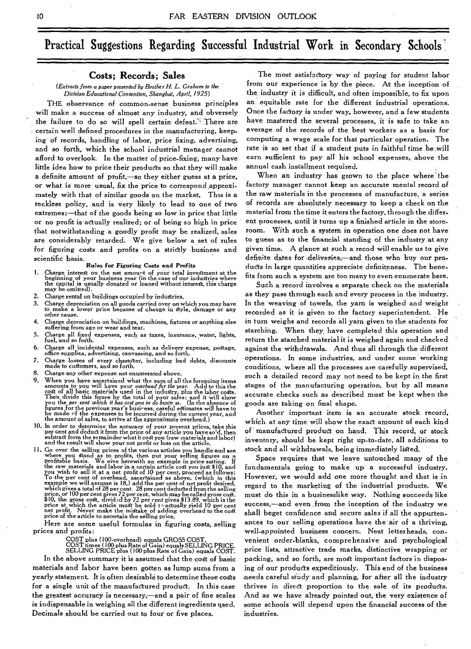# Practical Suggestions Regarding Successful Industrial Work in Secondary Schools

## **Costs; Records; Sales**

*(Extracts from a paper presented by Brother H. L. Graham to the Division Educational Convention, Shanghai, April, 1925)* 

**THE** observance of common-sense business principles will make a success of almost any industry, and obversely the failure to do so will spell certain defeat'',There are certain well defined procedures in the manufacturing, keeping of records, handling of labor, price fixing, advertising, and so forth, which the school industrial manager cannot afford to overlook. In the matter of price-fixing, many have little idea how to price their products so that they will make a definite amount of profit,—so they either guess at a price, or what is more usual, fix the price to correspond approximately with that of similar goods on the market. This is a reckless policy, and is very likely to lead to one of two extremes;—that of the goods being so low in price that little or no profit is actually realized; or of being so high in price that notwithstanding a goodly profit may be realized, sales are considerably retarded. We give below a set of rules for figuring costs and profits on a strictly business and scientific basis.

**Rules for Figuring Costs and Profits** 

- Charge interest on the net amount of your total investment at the beginning of your business year (in the case of our industries where the capital is usually donated or loaned without interest, this charge may be omitted).
- 2. Charge rental on buildings occupied by industries.<br>3. Charge depreciation on all goods carried over on w
- 3. Charge depreciation on all goods carried over on which you may have to make a lower price because of change in Style, damage or any other cause.
- 4. Charge depreciation on bUildings, machines, fixtures or anything else suffering from age or wear and tear.
- 5. Charge all fixed expenses, such as taxes, insurance, water, lights, fuel, and so forth.
- 6. Charge all incidental expenses, such as delivery expense, postage, office supplies, advertising, canvassing, and so forth.
- 7. Charge losses of every character, including bad debts, discounts made to customers, and so forth.
- 8. Charge any other expense not enumerated above.<br>9. When you have ascertained what the sum of all
- 9. When you have ascertained what the sum of all the foregoing items<br>amounts to you will have your *one head* for the year. Add to this the<br>cost of all basic materials used in the industry, plus the labor costs.<br>Then divi the amount of sales, to arrive at the approximate overhead.)
- 10. In order to determine the accuracy of your present prices, take this per cent and deduct it from the price of any article you have so'd, then<br>subtract from the remainder what it cost you (raw materials and labor)<br>and the result will show your net profit or loss on the article.
- II. Go over the selling prices of the various articles you handle and see where you stand as to profit, them put your selling figures on a change profitable basis. We sive herewith an example in price setting. If the raw

Here are some useful formulas in figuring costs, selling prices and profits:

**COST plus (100-overhead)** equals GROSS COST. COST times (100 plus Rate of Gain) equals SELLING PRICE. SELLING PRICE plus (100 plus Rate of Gain) equals COST.

In the above summary it is assumed that the cost of basic materials and labor have been gotten as lump sums from a yearly statement. It is often desirable to determine these costs for a single unit of the manufactured product. In this case the greatest accuracy is necessary,—and a pair of fine scales is indispensable in weighing all the different ingredients used. Decimals should be carried out to four or five places.

The most satisfactory way of paying for student labor from our experience is by the piece. At the inception of the, industry it is difficult, and often impossible, to fix upon an equitable rate for the different industrial operations. Once the factory is under way, however, and a few students have mastered the several processes, it is safe to take an average of the records of **the** best workers as a basis for computing a wage scale for that particular operation. The rate is so set that if a student puts in faithful time he will earn sufficient to pay all his school expenses, above the annual cash installment required.

When an industry has grown to the place where the factory manager cannot keep an accurate mental record of the raw materials in the processes of manufacture, a series of records are absolutely necessary to keep a check on the material from the time it enters the factory, through the differ. ent processes, until it turns up a finished article in the storeroom. With such a system in operation one does not have to guess as to the financial standing of the industry at any given time. A glance at such a recod will enable us to give definite dates for deliveries,—and those who buy our products in large quantities appreciate definiteness. The benefits from such a system are too many to even enumerate here.

Such a record involves a separate check on the materials as they pass through each and every process in the industry. In the weaving of towels, the yarn is weighed and weight recorded as it is given to the factory superintendent. He in turn weighs and records all yarn given to the students for starching. When they, have completed this operation and return the starched material it is weighed again and checked against the withdrawals. And thus all through the different operations. In some industries, and under some working conditions, where all the processes are carefully supervised, such a detailed record may not need to be kept in the first stages of the manufacturing operation, but by all means accurate checks such as described must be kept when the goods are taking on final shape.

Another important item is an accurate stock record, which at any time will show the exact amount of each kind of manufactured product on hand. This record, or stock inventory, should be kept right up-to-date, all additions to stock and all withdrawals, being immediately listed.

Space requires that we leave untouched many of the fundamentals going to make up a successful industry. However, we would add one more thought and that is in regard to the marketing of the industrial products. We must do this in a businesslike way. Nothing succeeds like success,—and even from the inception of the industry we shall beget confidence and secure sales if all the appurtenances to our selling operations have the air of a thriving, well-appointed business concern. Neat letterheads, convenient order-blanks, comprehensive and psychological price lists, attractive trade marks, distinctive wrapping or packing, and so forth, are most important factors in disposing of our products expeditiously. This end of the business -needs careful study and planning, for after all the industry thrives in direct proportion to the sale of its products. And as we have already pointed out, the very existence of some schools will depend upon the financial success of the industries.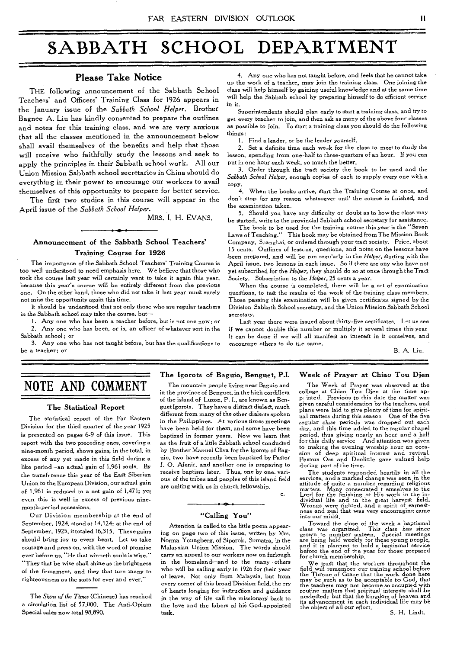# **SABBATH SCHOOL DEPARTMENT**

THE following announcement of the Sabbath School Teachers' and Officers' Training Class for 1926 appears in the January issue of the *Sabbath School Helper.* Brother Bagnee A. Liu has kindly consented to prepare the outlines and notes for this training class, and we are very anxious that all the classes mentioned in the announcement below shall avail themselves of the benefits and help that those will receive who faithfully study the lessons and seek to apply the principles in their Sabbath school work. All our Union Mission Sabbath school secretaries in China should do everything in their power to encourage our workers to avail themselves of this opportunity to prepare for better service.

The first two studies in this course will appear in the April issue of the *Sabbath School Helper.* 

MRS. I. H. EVANS.

#### Announcement of the Sabbath School Teachers' Training Course for 1926

The importance of the Sabbath School Teachers' Training Course is too well understood to need emphasis here. We believe that those who took the course lad year will certainly want to take it again this year, because this year's course will be entirely different from the previous one. On the other hand, those who did not take it last year mud surely not miss the opportunity again this time.

It should be understood that not only those who are regular teachers in the Sabbath school may take the course, but-

1. Any one who has been a teacher before, but is not one now; or 2. Any one who has been, or is, an officer of whatever sort in the Sabbath school; or

3. Any one who has not taught before, but has the qualifications to be a teacher; or

#### **Please Take Notice** 12. Any one who has not taught before, and feels that he cannot take up the work of a teacher, may join the training class. One joining the class will help himself by gaining useful knowledge and at the same time will help the Sabbath school by preparing himself to do efficient service in it.

Superintendents should plan early to start a training class, and try to get every teacher to join, and then ask as many of the above four classes as possible to join. To Start a training class you should do the following things:

1. Find a leader, or be the leader yourself.

2. Set a definite time each week for the class to meet to Study the lesson, spending from one-half to three-quarters of an hour. If you can Put in one hour each week, so much the better.

3. Order through the tract society the book to be used and the *Sabbath School Helper,* enough copies of each to supply every one with a copy.

4. When the books arrive, Start the Training Course at once, and don't stop for any reason whatsoever unti' the course is finished, and the examination taken.

5. Should you have any difficulty or doubt as to how the class may be darted, write to the provincial Sabbath school secretary for assistance.

The book to be used for the training course this year is the "Seven Laws of Teaching." This book may be obtained from The Mission Book Company, Saanghai, or ordered through your tract society. Price, about 15 cents. Outlines of lessons, questions, and notes on the lessons have been prepared, and will be run regu'arly in the Helper, starting with the April issue, two lessons in each issue. So if there are any who have not yet subscribed for the *Helper,* they should do so at once through the Tract Society. Subscription to the *Helper,* 25 cents a year.

When the course is completed, there will be a set of examination quegtions, to test the results of the work of the training class members. Those passing this examination will be given certificates signed by the Division Sabbath School secretary, and the Union Mission Sabbath School secretary.

Last year there were issued about thirty-five certificates. Let us see if we cannot double this number or multiply it several times this year It can be done if we will all manifest an interest in it ourselves, and encourage others to do ti.e same.

B. A. Liu.

# NOTE AND COMMENT

#### The Statistical Report

The statistical report of the Far Eastern Division for the third quarter of the year 1925 is presented on pages 6-9 of this issue. This report with the two preceding ones, covering a nine-month period, shows gains, in the total, in excess of any yet made in this field during a like period—an actual gain of 1,961 souls. By the transference this year of the East Siberian Union to the European Division, our actual gain of 1,961 is reduced to a net gain of 1,471; yet even this is well in excess of previous ninemonth-period accessions.

Our Division membership at the end of September, 1924, stood at 14,124; at the end of September, 1925, it totaled 16,315. These gains should bring joy to every heart. Let us take courage and press on, with the word of promise ever before us, "He that winneth souls is wise." "They that be wise shall shine as the brightness of the firmament, and they that turn many to righteousness as the stars for ever and ever."

The Igorots of Baguio, Benguet, P.I.

The mountain people living near Baguio and in the province of Benguet, in the high cordillera of the island of Luzon, P. I., are known as Benguet Igorots. They have a distinct dialed, much different from many of the other dialects spoken *in* the Philippines. *At* various times meetings have been held for them, and some have been baptized in former years. Now we learn that as the fruit of a little Sabbath school conducted by Brother Manuel Cliva for the Igorots of Baguio, two have recently been baptized by Pastor J. 0. Afenir, and another one is preparing to receive baptism later. Thus, one by one. various of the tribes and peoples of this island field are uniting with us in church fellowship.

c.

#### "Calling You"

Attention is called to the little poem appearing on page two of this issue, wrtten by Mrs. Norma Youngberg, of Siporok, Sumatra, in the Malaysian Union Mission. The words should carry an appeal to our workers now on furlough in the homeland—and to the many others who will be sailing early in 1926 for their year of leave. Not only from Malaysia, but from every corner of this broad Division field, the cry of hearts longing for instruction and guidance in the way of life call the missionary back to the love and the labors of hi; God-appointed task.

# Week of Prayer at Chiao Tou Djen

The Week of Prayer was observed at the college at Chiao Tou Djen at the time apinted. Previous to this date the matter was given careful consideration by the teachers, and plans were laid to give plenty of time for spiritual matters during this season One of the five regular class periods was dropped out each day, and this time added to the regular chapel period, thus giving nearly an hour and a half for this daily service And attention was given to making the evening worship hour an occa-sion of deep spiritual interest and revival. Pastors Oss and Doolittle gave valued help during part of the time.

The students responded heartily in all the services, and a marked change was seen in the attitude of quite a number regarding religious matters. Many consecrated t emselves to the find Lord for the finishing of His work in the individual life and un the great harvest field. Wrongs were righted, and a spirit of into our midst.

Toward the close of the week a baptismal *class* was *organized.* This *class* has since grown to number sixteen. Special meetings are being held weekly for these young people, and it is planned to hold a baptismal service before the end of the year for those prepared for church membership.

We trust that the workers throughout the field will remember our training school before the Throne of Grace that the work done here may be such as to be acceptable to God., that<br>the teachers may not become so occupied with<br>routine matters that spiritual' interests shall be<br>nealeded; but that the kingdom of heaven and its advancement in each individual life may be the object of all our effort.

The *Signs of the Times* (Chinese) has reached a circulation list of 57,000. The Anti-Opium Special sales now total 98,890.